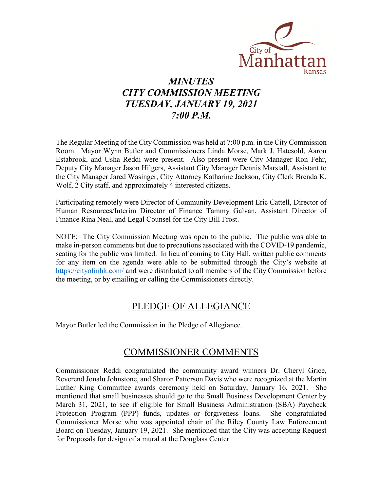

# *MINUTES CITY COMMISSION MEETING TUESDAY, JANUARY 19, 2021 7:00 P.M.*

The Regular Meeting of the City Commission was held at 7:00 p.m. in the City Commission Room. Mayor Wynn Butler and Commissioners Linda Morse, Mark J. Hatesohl, Aaron Estabrook, and Usha Reddi were present. Also present were City Manager Ron Fehr, Deputy City Manager Jason Hilgers, Assistant City Manager Dennis Marstall, Assistant to the City Manager Jared Wasinger, City Attorney Katharine Jackson, City Clerk Brenda K. Wolf, 2 City staff, and approximately 4 interested citizens.

Participating remotely were Director of Community Development Eric Cattell, Director of Human Resources/Interim Director of Finance Tammy Galvan, Assistant Director of Finance Rina Neal, and Legal Counsel for the City Bill Frost.

NOTE: The City Commission Meeting was open to the public. The public was able to make in-person comments but due to precautions associated with the COVID-19 pandemic, seating for the public was limited. In lieu of coming to City Hall, written public comments for any item on the agenda were able to be submitted through the City's website at [https://cityofmhk.com/](https://cityofmhk.com/and) and were distributed to all members of the City Commission before the meeting, or by emailing or calling the Commissioners directly.

### PLEDGE OF ALLEGIANCE

Mayor Butler led the Commission in the Pledge of Allegiance.

## COMMISSIONER COMMENTS

Commissioner Reddi congratulated the community award winners Dr. Cheryl Grice, Reverend Jonalu Johnstone, and Sharon Patterson Davis who were recognized at the Martin Luther King Committee awards ceremony held on Saturday, January 16, 2021. She mentioned that small businesses should go to the Small Business Development Center by March 31, 2021, to see if eligible for Small Business Administration (SBA) Paycheck Protection Program (PPP) funds, updates or forgiveness loans. She congratulated Commissioner Morse who was appointed chair of the Riley County Law Enforcement Board on Tuesday, January 19, 2021. She mentioned that the City was accepting Request for Proposals for design of a mural at the Douglass Center.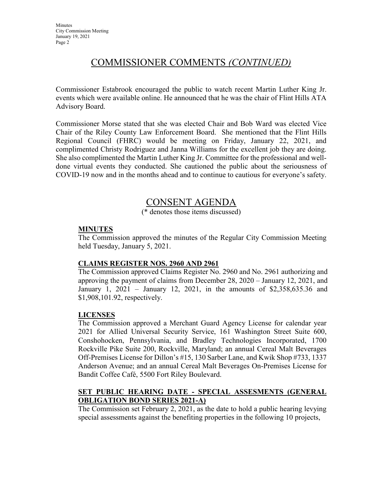## COMMISSIONER COMMENTS *(CONTINUED)*

Commissioner Estabrook encouraged the public to watch recent Martin Luther King Jr. events which were available online. He announced that he was the chair of Flint Hills ATA Advisory Board.

Commissioner Morse stated that she was elected Chair and Bob Ward was elected Vice Chair of the Riley County Law Enforcement Board. She mentioned that the Flint Hills Regional Council (FHRC) would be meeting on Friday, January 22, 2021, and complimented Christy Rodriguez and Janna Williams for the excellent job they are doing. She also complimented the Martin Luther King Jr. Committee for the professional and welldone virtual events they conducted. She cautioned the public about the seriousness of COVID-19 now and in the months ahead and to continue to cautious for everyone's safety.

### CONSENT AGENDA

(\* denotes those items discussed)

### **MINUTES**

The Commission approved the minutes of the Regular City Commission Meeting held Tuesday, January 5, 2021.

#### **CLAIMS REGISTER NOS. 2960 AND 2961**

The Commission approved Claims Register No. 2960 and No. 2961 authorizing and approving the payment of claims from December 28, 2020 – January 12, 2021, and January 1, 2021 – January 12, 2021, in the amounts of \$2,358,635.36 and \$1,908,101.92, respectively.

#### **LICENSES**

The Commission approved a Merchant Guard Agency License for calendar year 2021 for Allied Universal Security Service, 161 Washington Street Suite 600, Conshohocken, Pennsylvania, and Bradley Technologies Incorporated, 1700 Rockville Pike Suite 200, Rockville, Maryland; an annual Cereal Malt Beverages Off-Premises License for Dillon's #15, 130 Sarber Lane, and Kwik Shop #733, 1337 Anderson Avenue; and an annual Cereal Malt Beverages On-Premises License for Bandit Coffee Café, 5500 Fort Riley Boulevard.

#### **SET PUBLIC HEARING DATE - SPECIAL ASSESMENTS (GENERAL OBLIGATION BOND SERIES 2021-A)**

The Commission set February 2, 2021, as the date to hold a public hearing levying special assessments against the benefiting properties in the following 10 projects,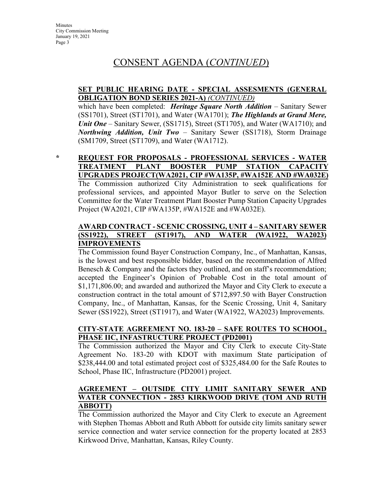## CONSENT AGENDA (*CONTINUED*)

#### **SET PUBLIC HEARING DATE - SPECIAL ASSESMENTS (GENERAL OBLIGATION BOND SERIES 2021-A)** *(CONTINUED)*

which have been completed: *Heritage Square North Addition* – Sanitary Sewer (SS1701), Street (ST1701), and Water (WA1701); *The Highlands at Grand Mere, Unit One* – Sanitary Sewer, (SS1715), Street (ST1705), and Water (WA1710); and *Northwing Addition, Unit Two* – Sanitary Sewer (SS1718), Storm Drainage (SM1709, Street (ST1709), and Water (WA1712).

### **\* REQUEST FOR PROPOSALS - PROFESSIONAL SERVICES - WATER TREATMENT PLANT BOOSTER PUMP STATION CAPACITY UPGRADES PROJECT(WA2021, CIP #WA135P, #WA152E AND #WA032E)**

The Commission authorized City Administration to seek qualifications for professional services, and appointed Mayor Butler to serve on the Selection Committee for the Water Treatment Plant Booster Pump Station Capacity Upgrades Project (WA2021, CIP #WA135P, #WA152E and #WA032E).

#### **AWARD CONTRACT - SCENIC CROSSING, UNIT 4 – SANITARY SEWER (SS1922), STREET (ST1917), AND WATER (WA1922, WA2023) IMPROVEMENTS**

The Commission found Bayer Construction Company, Inc., of Manhattan, Kansas, is the lowest and best responsible bidder, based on the recommendation of Alfred Benesch & Company and the factors they outlined, and on staff's recommendation; accepted the Engineer's Opinion of Probable Cost in the total amount of \$1,171,806.00; and awarded and authorized the Mayor and City Clerk to execute a construction contract in the total amount of \$712,897.50 with Bayer Construction Company, Inc., of Manhattan, Kansas, for the Scenic Crossing, Unit 4, Sanitary Sewer (SS1922), Street (ST1917), and Water (WA1922, WA2023) Improvements.

#### **CITY-STATE AGREEMENT NO. 183-20 – SAFE ROUTES TO SCHOOL, PHASE IIC, INFASTRUCTURE PROJECT (PD2001)**

The Commission authorized the Mayor and City Clerk to execute City-State Agreement No. 183-20 with KDOT with maximum State participation of \$238,444.00 and total estimated project cost of \$325,484.00 for the Safe Routes to School, Phase IIC, Infrastructure (PD2001) project.

#### **AGREEMENT – OUTSIDE CITY LIMIT SANITARY SEWER AND WATER CONNECTION - 2853 KIRKWOOD DRIVE (TOM AND RUTH ABBOTT)**

The Commission authorized the Mayor and City Clerk to execute an Agreement with Stephen Thomas Abbott and Ruth Abbott for outside city limits sanitary sewer service connection and water service connection for the property located at 2853 Kirkwood Drive, Manhattan, Kansas, Riley County.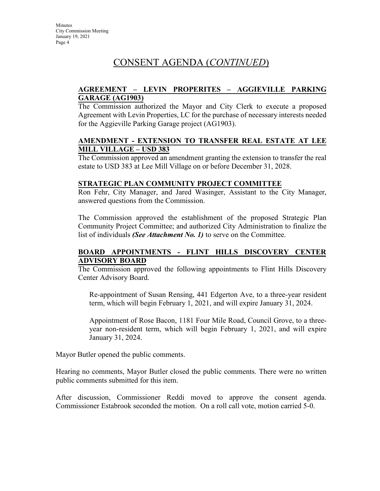# CONSENT AGENDA (*CONTINUED*)

#### **AGREEMENT – LEVIN PROPERITES – AGGIEVILLE PARKING GARAGE (AG1903)**

The Commission authorized the Mayor and City Clerk to execute a proposed Agreement with Levin Properties, LC for the purchase of necessary interests needed for the Aggieville Parking Garage project (AG1903).

#### **AMENDMENT - EXTENSION TO TRANSFER REAL ESTATE AT LEE MILL VILLAGE – USD 383**

The Commission approved an amendment granting the extension to transfer the real estate to USD 383 at Lee Mill Village on or before December 31, 2028.

#### **STRATEGIC PLAN COMMUNITY PROJECT COMMITTEE**

Ron Fehr, City Manager, and Jared Wasinger, Assistant to the City Manager, answered questions from the Commission.

The Commission approved the establishment of the proposed Strategic Plan Community Project Committee; and authorized City Administration to finalize the list of individuals *(See Attachment No. 1)* to serve on the Committee.

### **BOARD APPOINTMENTS - FLINT HILLS DISCOVERY CENTER ADVISORY BOARD**

The Commission approved the following appointments to Flint Hills Discovery Center Advisory Board.

Re-appointment of Susan Rensing, 441 Edgerton Ave, to a three-year resident term, which will begin February 1, 2021, and will expire January 31, 2024.

Appointment of Rose Bacon, 1181 Four Mile Road, Council Grove, to a threeyear non-resident term, which will begin February 1, 2021, and will expire January 31, 2024.

Mayor Butler opened the public comments.

Hearing no comments, Mayor Butler closed the public comments. There were no written public comments submitted for this item.

After discussion, Commissioner Reddi moved to approve the consent agenda. Commissioner Estabrook seconded the motion. On a roll call vote, motion carried 5-0.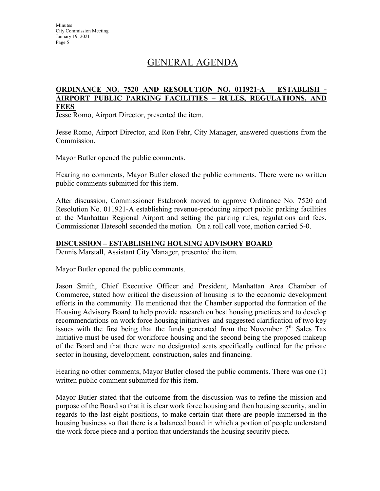# GENERAL AGENDA

#### **ORDINANCE NO. 7520 AND RESOLUTION NO. 011921-A – ESTABLISH - AIRPORT PUBLIC PARKING FACILITIES – RULES, REGULATIONS, AND FEES**

Jesse Romo, Airport Director, presented the item.

Jesse Romo, Airport Director, and Ron Fehr, City Manager, answered questions from the Commission.

Mayor Butler opened the public comments.

Hearing no comments, Mayor Butler closed the public comments. There were no written public comments submitted for this item.

After discussion, Commissioner Estabrook moved to approve Ordinance No. 7520 and Resolution No. 011921-A establishing revenue-producing airport public parking facilities at the Manhattan Regional Airport and setting the parking rules, regulations and fees. Commissioner Hatesohl seconded the motion. On a roll call vote, motion carried 5-0.

#### **DISCUSSION – ESTABLISHING HOUSING ADVISORY BOARD**

Dennis Marstall, Assistant City Manager, presented the item.

Mayor Butler opened the public comments.

Jason Smith, Chief Executive Officer and President, Manhattan Area Chamber of Commerce, stated how critical the discussion of housing is to the economic development efforts in the community. He mentioned that the Chamber supported the formation of the Housing Advisory Board to help provide research on best housing practices and to develop recommendations on work force housing initiatives and suggested clarification of two key issues with the first being that the funds generated from the November  $7<sup>th</sup>$  Sales Tax Initiative must be used for workforce housing and the second being the proposed makeup of the Board and that there were no designated seats specifically outlined for the private sector in housing, development, construction, sales and financing.

Hearing no other comments, Mayor Butler closed the public comments. There was one (1) written public comment submitted for this item.

Mayor Butler stated that the outcome from the discussion was to refine the mission and purpose of the Board so that it is clear work force housing and then housing security, and in regards to the last eight positions, to make certain that there are people immersed in the housing business so that there is a balanced board in which a portion of people understand the work force piece and a portion that understands the housing security piece.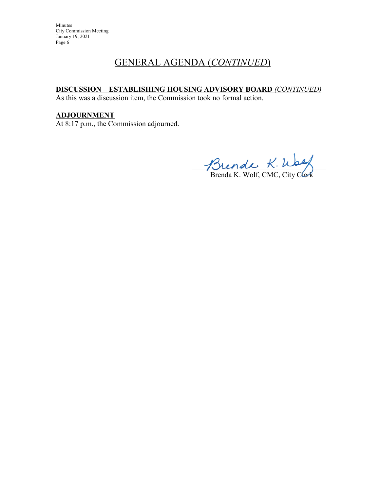Minutes City Commission Meeting January 19, 2021 Page 6

## GENERAL AGENDA (*CONTINUED*)

### **DISCUSSION – ESTABLISHING HOUSING ADVISORY BOARD** *(CONTINUED)*

As this was a discussion item, the Commission took no formal action.

### **ADJOURNMENT**

At 8:17 p.m., the Commission adjourned.

\_\_\_\_\_\_\_\_\_\_\_\_\_\_\_\_\_\_\_\_\_\_\_\_\_\_\_\_\_\_\_\_\_\_\_\_

Brenda K. Wolf, CMC, City Clerk